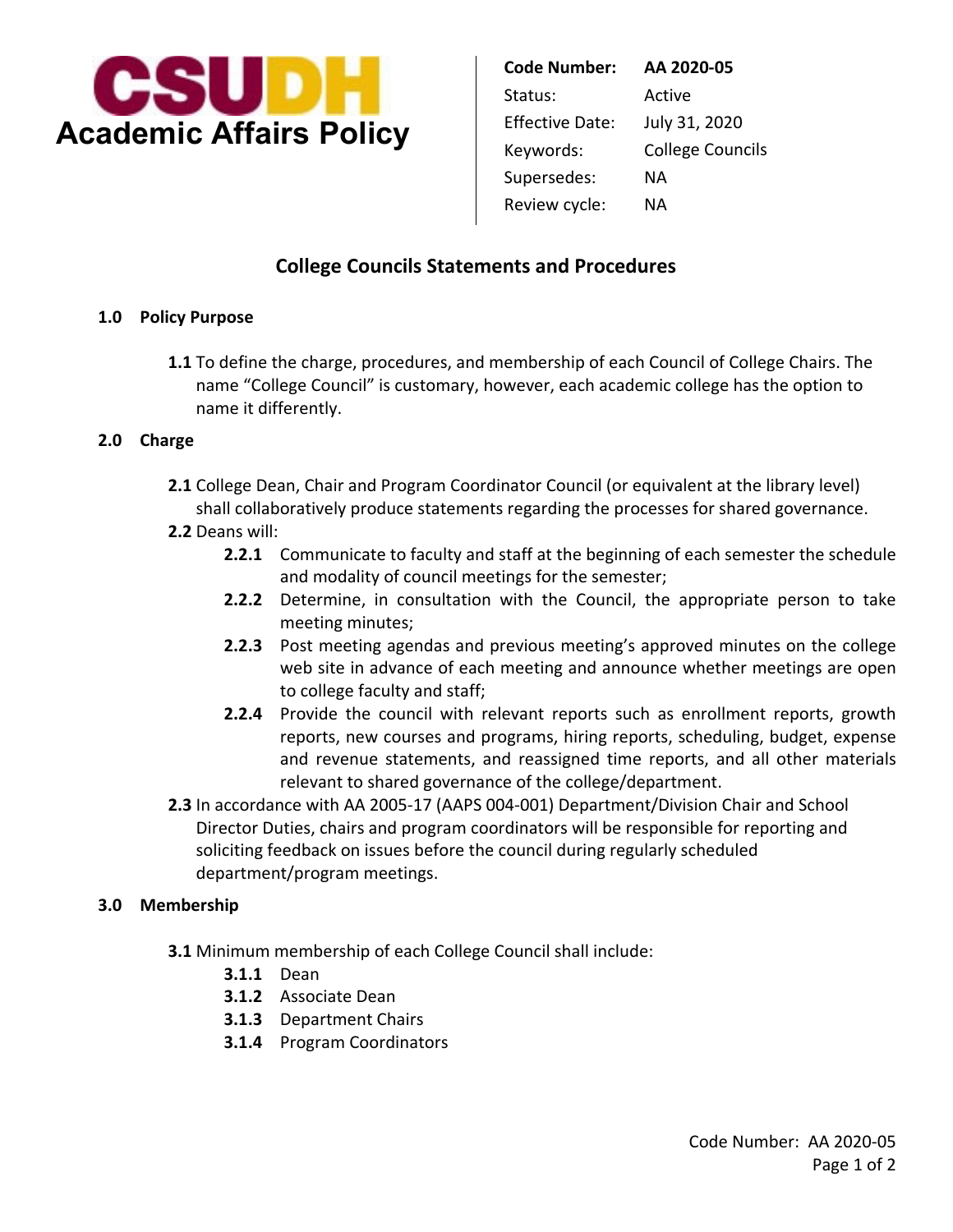

| AA 2020-05              |
|-------------------------|
| Active                  |
| July 31, 2020           |
| <b>College Councils</b> |
| NА                      |
| NА                      |
|                         |

# **College Councils Statements and Procedures**

#### **1.0 Policy Purpose**

 name "College Council" is customary, however, each academic college has the option to **1.1** To define the charge, procedures, and membership of each Council of College Chairs. The name it differently.

#### **2.0 Charge**

**2.1** College Dean, Chair and Program Coordinator Council (or equivalent at the library level) shall collaboratively produce statements regarding the processes for shared governance.

### **2.2** Deans will:

- **2.2.1** Communicate to faculty and staff at the beginning of each semester the schedule and modality of council meetings for the semester;
- **2.2.2** Determine, in consultation with the Council, the appropriate person to take meeting minutes;
- **2.2.3** Post meeting agendas and previous meeting's approved minutes on the college web site in advance of each meeting and announce whether meetings are open to college faculty and staff;
- **2.2.4** Provide the council with relevant reports such as enrollment reports, growth reports, new courses and programs, hiring reports, scheduling, budget, expense and revenue statements, and reassigned time reports, and all other materials relevant to shared governance of the college/department.
- **2.3** In accordance with AA 2005-17 (AAPS 004-001) Department/Division Chair and School Director Duties, chairs and program coordinators will be responsible for reporting and soliciting feedback on issues before the council during regularly scheduled department/program meetings.

#### **3.0 Membership**

- **3.1** Minimum membership of each College Council shall include:
	- **3.1.1** Dean
	- **3.1.2** Associate Dean
	- **3.1.3** Department Chairs
	- **3.1.4** Program Coordinators